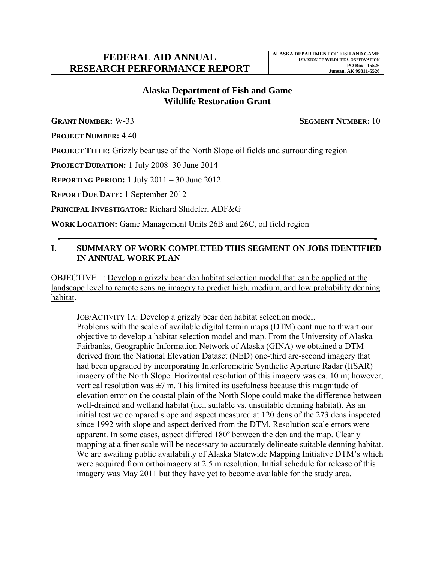# **Alaska Department of Fish and Game Wildlife Restoration Grant**

**GRANT NUMBER:** W-33 **SEGMENT NUMBER:** 10

**PROJECT NUMBER:** 4.40

**PROJECT TITLE:** Grizzly bear use of the North Slope oil fields and surrounding region

**PROJECT DURATION:** 1 July 2008–30 June 2014

**REPORTING PERIOD:** 1 July 2011 – 30 June 2012

**REPORT DUE DATE:** 1 September 2012

**PRINCIPAL INVESTIGATOR:** Richard Shideler, ADF&G

**WORK LOCATION:** Game Management Units 26B and 26C, oil field region

# **I. SUMMARY OF WORK COMPLETED THIS SEGMENT ON JOBS IDENTIFIED IN ANNUAL WORK PLAN**

OBJECTIVE 1: Develop a grizzly bear den habitat selection model that can be applied at the landscape level to remote sensing imagery to predict high, medium, and low probability denning habitat.

JOB/ACTIVITY 1A: Develop a grizzly bear den habitat selection model. Problems with the scale of available digital terrain maps (DTM) continue to thwart our objective to develop a habitat selection model and map. From the University of Alaska Fairbanks, Geographic Information Network of Alaska (GINA) we obtained a DTM derived from the National Elevation Dataset (NED) one-third arc-second imagery that had been upgraded by incorporating Interferometric Synthetic Aperture Radar (IfSAR) imagery of the North Slope. Horizontal resolution of this imagery was ca. 10 m; however, vertical resolution was  $\pm 7$  m. This limited its usefulness because this magnitude of elevation error on the coastal plain of the North Slope could make the difference between well-drained and wetland habitat (i.e., suitable vs. unsuitable denning habitat). As an initial test we compared slope and aspect measured at 120 dens of the 273 dens inspected since 1992 with slope and aspect derived from the DTM. Resolution scale errors were apparent. In some cases, aspect differed 180º between the den and the map. Clearly mapping at a finer scale will be necessary to accurately delineate suitable denning habitat. We are awaiting public availability of Alaska Statewide Mapping Initiative DTM's which were acquired from orthoimagery at 2.5 m resolution. Initial schedule for release of this imagery was May 2011 but they have yet to become available for the study area.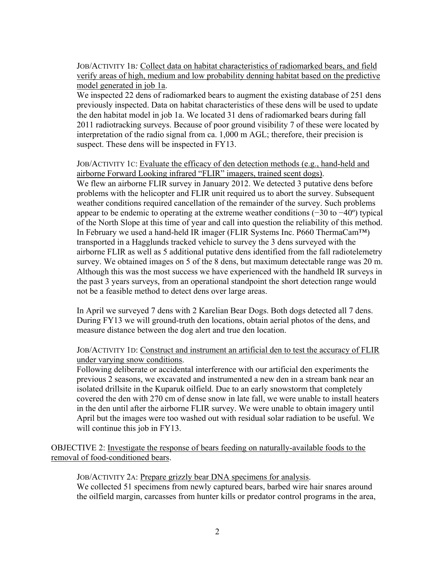JOB/ACTIVITY 1B*:* Collect data on habitat characteristics of radiomarked bears, and field verify areas of high, medium and low probability denning habitat based on the predictive model generated in job 1a.

We inspected 22 dens of radiomarked bears to augment the existing database of 251 dens previously inspected. Data on habitat characteristics of these dens will be used to update the den habitat model in job 1a. We located 31 dens of radiomarked bears during fall 2011 radiotracking surveys. Because of poor ground visibility 7 of these were located by interpretation of the radio signal from ca. 1,000 m AGL; therefore, their precision is suspect. These dens will be inspected in FY13.

JOB/ACTIVITY 1C: Evaluate the efficacy of den detection methods (e.g., hand-held and airborne Forward Looking infrared "FLIR" imagers, trained scent dogs). We flew an airborne FLIR survey in January 2012. We detected 3 putative dens before problems with the helicopter and FLIR unit required us to abort the survey. Subsequent weather conditions required cancellation of the remainder of the survey. Such problems appear to be endemic to operating at the extreme weather conditions (−30 to −40º) typical of the North Slope at this time of year and call into question the reliability of this method. In February we used a hand-held IR imager (FLIR Systems Inc. P660 ThermaCam™) transported in a Hagglunds tracked vehicle to survey the 3 dens surveyed with the airborne FLIR as well as 5 additional putative dens identified from the fall radiotelemetry survey. We obtained images on 5 of the 8 dens, but maximum detectable range was 20 m. Although this was the most success we have experienced with the handheld IR surveys in the past 3 years surveys, from an operational standpoint the short detection range would not be a feasible method to detect dens over large areas.

In April we surveyed 7 dens with 2 Karelian Bear Dogs. Both dogs detected all 7 dens. During FY13 we will ground-truth den locations, obtain aerial photos of the dens, and measure distance between the dog alert and true den location.

## JOB/ACTIVITY 1D: Construct and instrument an artificial den to test the accuracy of FLIR under varying snow conditions.

Following deliberate or accidental interference with our artificial den experiments the previous 2 seasons, we excavated and instrumented a new den in a stream bank near an isolated drillsite in the Kuparuk oilfield. Due to an early snowstorm that completely covered the den with 270 cm of dense snow in late fall, we were unable to install heaters in the den until after the airborne FLIR survey. We were unable to obtain imagery until April but the images were too washed out with residual solar radiation to be useful. We will continue this job in FY13.

OBJECTIVE 2: Investigate the response of bears feeding on naturally-available foods to the removal of food-conditioned bears.

JOB/ACTIVITY 2A: Prepare grizzly bear DNA specimens for analysis. We collected 51 specimens from newly captured bears, barbed wire hair snares around the oilfield margin, carcasses from hunter kills or predator control programs in the area,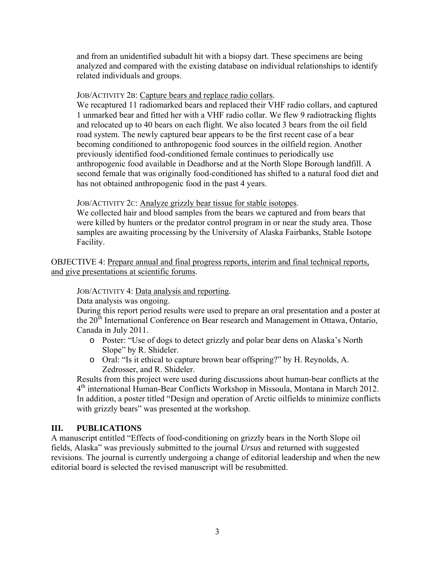and from an unidentified subadult hit with a biopsy dart. These specimens are being analyzed and compared with the existing database on individual relationships to identify related individuals and groups.

#### JOB/ACTIVITY 2B: Capture bears and replace radio collars.

We recaptured 11 radiomarked bears and replaced their VHF radio collars, and captured 1 unmarked bear and fitted her with a VHF radio collar. We flew 9 radiotracking flights and relocated up to 40 bears on each flight. We also located 3 bears from the oil field road system. The newly captured bear appears to be the first recent case of a bear becoming conditioned to anthropogenic food sources in the oilfield region. Another previously identified food-conditioned female continues to periodically use anthropogenic food available in Deadhorse and at the North Slope Borough landfill. A second female that was originally food-conditioned has shifted to a natural food diet and has not obtained anthropogenic food in the past 4 years.

#### JOB/ACTIVITY 2C: Analyze grizzly bear tissue for stable isotopes.

We collected hair and blood samples from the bears we captured and from bears that were killed by hunters or the predator control program in or near the study area. Those samples are awaiting processing by the University of Alaska Fairbanks, Stable Isotope Facility.

OBJECTIVE 4: Prepare annual and final progress reports, interim and final technical reports, and give presentations at scientific forums.

JOB/ACTIVITY 4: Data analysis and reporting.

Data analysis was ongoing.

During this report period results were used to prepare an oral presentation and a poster at the 20<sup>th</sup> International Conference on Bear research and Management in Ottawa, Ontario, Canada in July 2011.

- o Poster: "Use of dogs to detect grizzly and polar bear dens on Alaska's North Slope" by R. Shideler.
- o Oral: "Is it ethical to capture brown bear offspring?" by H. Reynolds, A. Zedrosser, and R. Shideler.

Results from this project were used during discussions about human-bear conflicts at the 4th international Human-Bear Conflicts Workshop in Missoula, Montana in March 2012. In addition, a poster titled "Design and operation of Arctic oilfields to minimize conflicts with grizzly bears" was presented at the workshop.

## **III. PUBLICATIONS**

A manuscript entitled "Effects of food-conditioning on grizzly bears in the North Slope oil fields, Alaska" was previously submitted to the journal *Ursus* and returned with suggested revisions. The journal is currently undergoing a change of editorial leadership and when the new editorial board is selected the revised manuscript will be resubmitted.